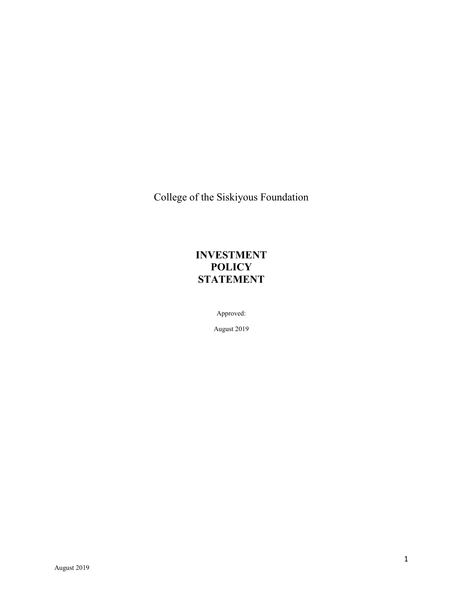College of the Siskiyous Foundation

# **INVESTMENT POLICY STATEMENT**

Approved:

August 2019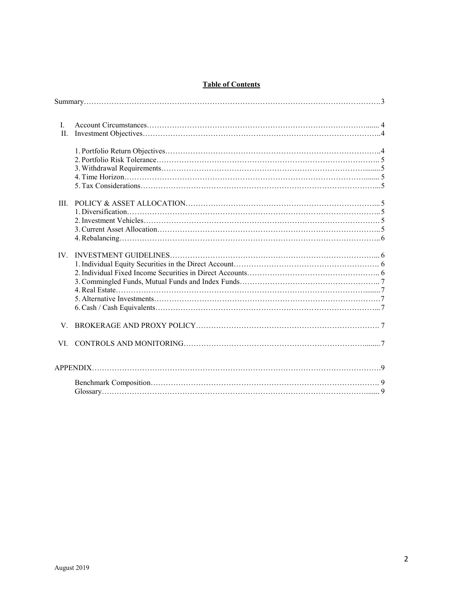# **Table of Contents**

| $\mathbf{I}$ .<br>H. |  |  |  |
|----------------------|--|--|--|
|                      |  |  |  |
| III.                 |  |  |  |
| IV.                  |  |  |  |
| V                    |  |  |  |
|                      |  |  |  |
|                      |  |  |  |
|                      |  |  |  |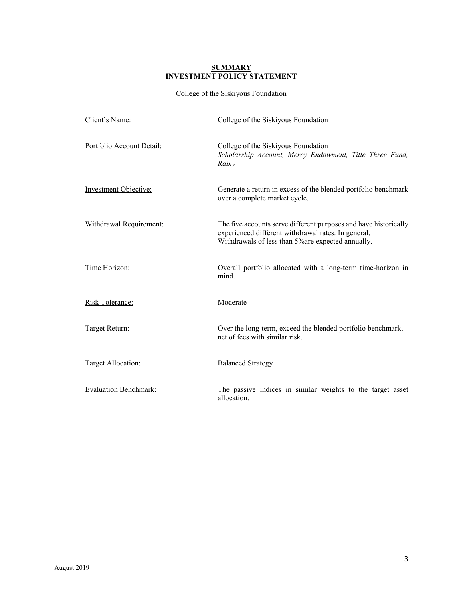#### **SUMMARY INVESTMENT POLICY STATEMENT**

College of the Siskiyous Foundation

| Client's Name:               | College of the Siskiyous Foundation                                                                                                                                           |
|------------------------------|-------------------------------------------------------------------------------------------------------------------------------------------------------------------------------|
| Portfolio Account Detail:    | College of the Siskiyous Foundation<br>Scholarship Account, Mercy Endowment, Title Three Fund,<br>Rainy                                                                       |
| <b>Investment Objective:</b> | Generate a return in excess of the blended portfolio benchmark<br>over a complete market cycle.                                                                               |
| Withdrawal Requirement:      | The five accounts serve different purposes and have historically<br>experienced different withdrawal rates. In general,<br>Withdrawals of less than 5% are expected annually. |
| Time Horizon:                | Overall portfolio allocated with a long-term time-horizon in<br>mind.                                                                                                         |
| Risk Tolerance:              | Moderate                                                                                                                                                                      |
| Target Return:               | Over the long-term, exceed the blended portfolio benchmark,<br>net of fees with similar risk.                                                                                 |
| Target Allocation:           | <b>Balanced Strategy</b>                                                                                                                                                      |
| <b>Evaluation Benchmark:</b> | The passive indices in similar weights to the target asset<br>allocation.                                                                                                     |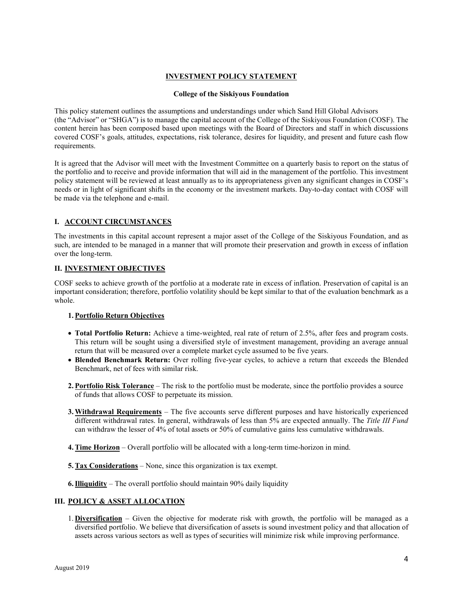# **INVESTMENT POLICY STATEMENT**

#### **College of the Siskiyous Foundation**

This policy statement outlines the assumptions and understandings under which Sand Hill Global Advisors (the "Advisor" or "SHGA") is to manage the capital account of the College of the Siskiyous Foundation (COSF). The content herein has been composed based upon meetings with the Board of Directors and staff in which discussions covered COSF's goals, attitudes, expectations, risk tolerance, desires for liquidity, and present and future cash flow requirements.

It is agreed that the Advisor will meet with the Investment Committee on a quarterly basis to report on the status of the portfolio and to receive and provide information that will aid in the management of the portfolio. This investment policy statement will be reviewed at least annually as to its appropriateness given any significant changes in COSF's needs or in light of significant shifts in the economy or the investment markets. Day-to-day contact with COSF will be made via the telephone and e-mail.

# **I. ACCOUNT CIRCUMSTANCES**

The investments in this capital account represent a major asset of the College of the Siskiyous Foundation, and as such, are intended to be managed in a manner that will promote their preservation and growth in excess of inflation over the long-term.

## **II. INVESTMENT OBJECTIVES**

COSF seeks to achieve growth of the portfolio at a moderate rate in excess of inflation. Preservation of capital is an important consideration; therefore, portfolio volatility should be kept similar to that of the evaluation benchmark as a whole.

#### **1.Portfolio Return Objectives**

- **Total Portfolio Return:** Achieve a time-weighted, real rate of return of 2.5%, after fees and program costs. This return will be sought using a diversified style of investment management, providing an average annual return that will be measured over a complete market cycle assumed to be five years.
- **Blended Benchmark Return:** Over rolling five-year cycles, to achieve a return that exceeds the Blended Benchmark, net of fees with similar risk.
- **2.Portfolio Risk Tolerance** The risk to the portfolio must be moderate, since the portfolio provides a source of funds that allows COSF to perpetuate its mission.
- **3.Withdrawal Requirements** The five accounts serve different purposes and have historically experienced different withdrawal rates. In general, withdrawals of less than 5% are expected annually. The *Title III Fund* can withdraw the lesser of 4% of total assets or 50% of cumulative gains less cumulative withdrawals.
- **4.Time Horizon** Overall portfolio will be allocated with a long-term time-horizon in mind.
- **5.Tax Considerations** None, since this organization is tax exempt.
- **6.Illiquidity** The overall portfolio should maintain 90% daily liquidity

# **III. POLICY & ASSET ALLOCATION**

1. **Diversification** – Given the objective for moderate risk with growth, the portfolio will be managed as a diversified portfolio. We believe that diversification of assets is sound investment policy and that allocation of assets across various sectors as well as types of securities will minimize risk while improving performance.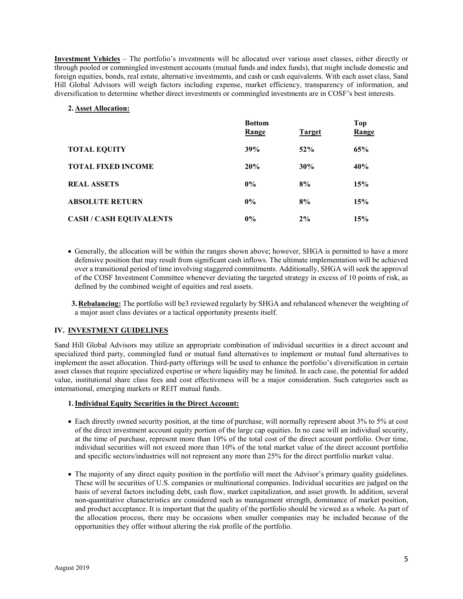**Investment Vehicles** – The portfolio's investments will be allocated over various asset classes, either directly or through pooled or commingled investment accounts (mutual funds and index funds), that might include domestic and foreign equities, bonds, real estate, alternative investments, and cash or cash equivalents. With each asset class, Sand Hill Global Advisors will weigh factors including expense, market efficiency, transparency of information, and diversification to determine whether direct investments or commingled investments are in COSF's best interests.

# **2. Asset Allocation:**

|                                | <b>Bottom</b><br>Range | <b>Target</b> | <b>Top</b><br>Range |
|--------------------------------|------------------------|---------------|---------------------|
| <b>TOTAL EQUITY</b>            | 39%                    | 52%           | 65%                 |
| <b>TOTAL FIXED INCOME</b>      | 20%                    | 30%           | 40%                 |
| <b>REAL ASSETS</b>             | $0\%$                  | 8%            | 15%                 |
| <b>ABSOLUTE RETURN</b>         | $0\%$                  | 8%            | 15%                 |
| <b>CASH / CASH EQUIVALENTS</b> | $0\%$                  | 2%            | 15%                 |

- Generally, the allocation will be within the ranges shown above; however, SHGA is permitted to have a more defensive position that may result from significant cash inflows. The ultimate implementation will be achieved over a transitional period of time involving staggered commitments. Additionally, SHGA will seek the approval of the COSF Investment Committee whenever deviating the targeted strategy in excess of 10 points of risk, as defined by the combined weight of equities and real assets.
- **3. Rebalancing:** The portfolio will be3 reviewed regularly by SHGA and rebalanced whenever the weighting of a major asset class deviates or a tactical opportunity presents itself.

# **IV. INVESTMENT GUIDELINES**

Sand Hill Global Advisors may utilize an appropriate combination of individual securities in a direct account and specialized third party, commingled fund or mutual fund alternatives to implement or mutual fund alternatives to implement the asset allocation. Third-party offerings will be used to enhance the portfolio's diversification in certain asset classes that require specialized expertise or where liquidity may be limited. In each case, the potential for added value, institutional share class fees and cost effectiveness will be a major consideration. Such categories such as international, emerging markets or REIT mutual funds.

#### **1.Individual Equity Securities in the Direct Account:**

- Each directly owned security position, at the time of purchase, will normally represent about 3% to 5% at cost of the direct investment account equity portion of the large cap equities. In no case will an individual security, at the time of purchase, represent more than 10% of the total cost of the direct account portfolio. Over time, individual securities will not exceed more than 10% of the total market value of the direct account portfolio and specific sectors/industries will not represent any more than 25% for the direct portfolio market value.
- The majority of any direct equity position in the portfolio will meet the Advisor's primary quality guidelines. These will be securities of U.S. companies or multinational companies. Individual securities are judged on the basis of several factors including debt, cash flow, market capitalization, and asset growth. In addition, several non-quantitative characteristics are considered such as management strength, dominance of market position, and product acceptance. It is important that the quality of the portfolio should be viewed as a whole. As part of the allocation process, there may be occasions when smaller companies may be included because of the opportunities they offer without altering the risk profile of the portfolio.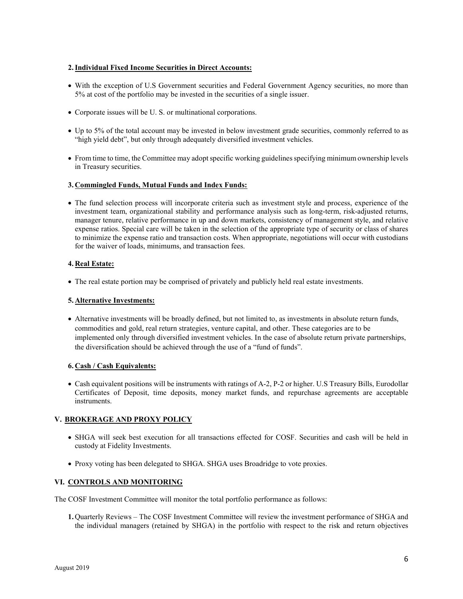# **2.Individual Fixed Income Securities in Direct Accounts:**

- With the exception of U.S Government securities and Federal Government Agency securities, no more than 5% at cost of the portfolio may be invested in the securities of a single issuer.
- Corporate issues will be U. S. or multinational corporations.
- Up to 5% of the total account may be invested in below investment grade securities, commonly referred to as "high yield debt", but only through adequately diversified investment vehicles.
- From time to time, the Committee may adopt specific working guidelines specifying minimum ownership levels in Treasury securities.

# **3. Commingled Funds, Mutual Funds and Index Funds:**

• The fund selection process will incorporate criteria such as investment style and process, experience of the investment team, organizational stability and performance analysis such as long-term, risk-adjusted returns, manager tenure, relative performance in up and down markets, consistency of management style, and relative expense ratios. Special care will be taken in the selection of the appropriate type of security or class of shares to minimize the expense ratio and transaction costs. When appropriate, negotiations will occur with custodians for the waiver of loads, minimums, and transaction fees.

#### **4. Real Estate:**

• The real estate portion may be comprised of privately and publicly held real estate investments.

#### **5. Alternative Investments:**

• Alternative investments will be broadly defined, but not limited to, as investments in absolute return funds, commodities and gold, real return strategies, venture capital, and other. These categories are to be implemented only through diversified investment vehicles. In the case of absolute return private partnerships, the diversification should be achieved through the use of a "fund of funds".

# **6. Cash / Cash Equivalents:**

• Cash equivalent positions will be instruments with ratings of A-2, P-2 or higher. U.S Treasury Bills, Eurodollar Certificates of Deposit, time deposits, money market funds, and repurchase agreements are acceptable instruments.

# **V. BROKERAGE AND PROXY POLICY**

- SHGA will seek best execution for all transactions effected for COSF. Securities and cash will be held in custody at Fidelity Investments.
- Proxy voting has been delegated to SHGA. SHGA uses Broadridge to vote proxies.

# **VI. CONTROLS AND MONITORING**

The COSF Investment Committee will monitor the total portfolio performance as follows:

**1.** Quarterly Reviews – The COSF Investment Committee will review the investment performance of SHGA and the individual managers (retained by SHGA) in the portfolio with respect to the risk and return objectives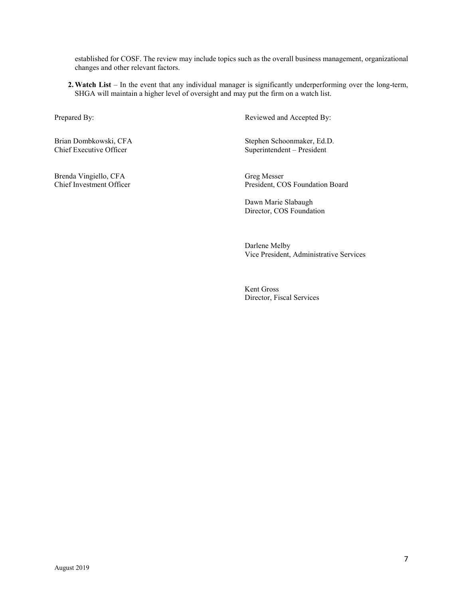established for COSF. The review may include topics such as the overall business management, organizational changes and other relevant factors.

2. Watch List – In the event that any individual manager is significantly underperforming over the long-term, SHGA will maintain a higher level of oversight and may put the firm on a watch list.

Brenda Vingiello, CFA Greg Messer<br>
Chief Investment Officer<br>
President, CC

Prepared By: Reviewed and Accepted By:

Brian Dombkowski, CFA Stephen Schoonmaker, Ed.D.<br>
Chief Executive Officer Superintendent – President Superintendent – President

President, COS Foundation Board

Dawn Marie Slabaugh Director, COS Foundation

Darlene Melby Vice President, Administrative Services

Kent Gross Director, Fiscal Services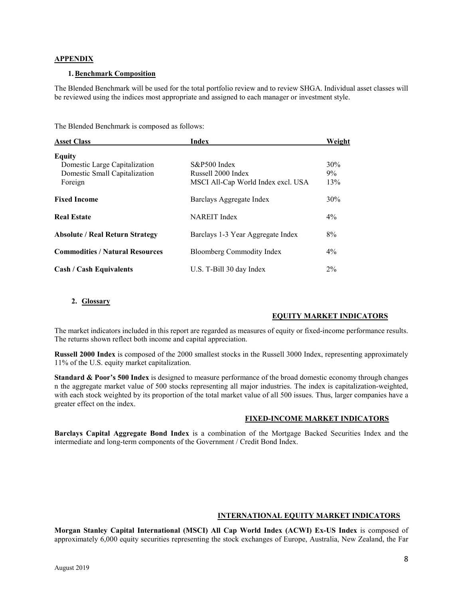# **APPENDIX**

#### **1.Benchmark Composition**

The Blended Benchmark will be used for the total portfolio review and to review SHGA. Individual asset classes will be reviewed using the indices most appropriate and assigned to each manager or investment style.

The Blended Benchmark is composed as follows:

| <b>Asset Class</b>                     | Index                              | Weight |
|----------------------------------------|------------------------------------|--------|
| <b>Equity</b>                          |                                    |        |
| Domestic Large Capitalization          | S&P500 Index                       | 30%    |
| Domestic Small Capitalization          | Russell 2000 Index                 | $9\%$  |
| Foreign                                | MSCI All-Cap World Index excl. USA | 13%    |
| <b>Fixed Income</b>                    | Barclays Aggregate Index           | $30\%$ |
| <b>Real Estate</b>                     | <b>NAREIT</b> Index                | $4\%$  |
| <b>Absolute / Real Return Strategy</b> | Barclays 1-3 Year Aggregate Index  | 8%     |
| <b>Commodities / Natural Resources</b> | Bloomberg Commodity Index          | $4\%$  |
| <b>Cash / Cash Equivalents</b>         | U.S. T-Bill 30 day Index           | $2\%$  |

#### **2. Glossary**

# **EQUITY MARKET INDICATORS**

The market indicators included in this report are regarded as measures of equity or fixed-income performance results. The returns shown reflect both income and capital appreciation.

**Russell 2000 Index** is composed of the 2000 smallest stocks in the Russell 3000 Index, representing approximately 11% of the U.S. equity market capitalization.

**Standard & Poor's 500 Index** is designed to measure performance of the broad domestic economy through changes n the aggregate market value of 500 stocks representing all major industries. The index is capitalization-weighted, with each stock weighted by its proportion of the total market value of all 500 issues. Thus, larger companies have a greater effect on the index.

# **FIXED-INCOME MARKET INDICATORS**

**Barclays Capital Aggregate Bond Index** is a combination of the Mortgage Backed Securities Index and the intermediate and long-term components of the Government / Credit Bond Index.

# **INTERNATIONAL EQUITY MARKET INDICATORS**

**Morgan Stanley Capital International (MSCI) All Cap World Index (ACWI) Ex-US Index** is composed of approximately 6,000 equity securities representing the stock exchanges of Europe, Australia, New Zealand, the Far